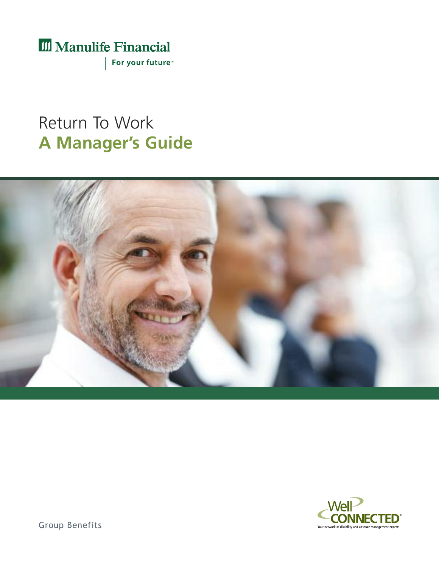III Manulife Financial

For your future<sup>™</sup>

# Return To Work **A Manager's Guide**





Group Benefits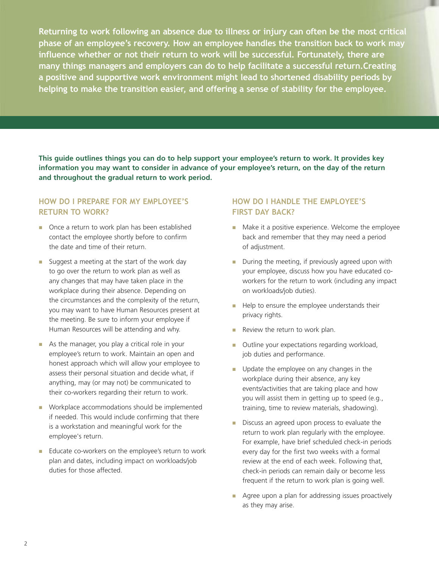**Returning to work following an absence due to illness or injury can often be the most critical phase of an employee's recovery. How an employee handles the transition back to work may influence whether or not their return to work will be successful. Fortunately, there are many things managers and employers can do to help facilitate a successful return.Creating a positive and supportive work environment might lead to shortened disability periods by helping to make the transition easier, and offering a sense of stability for the employee.**

This quide outlines things you can do to help support your employee's return to work. It provides key information you may want to consider in advance of your employee's return, on the day of the return **and throughout the gradual return to work period.**

## **How do I pRepaRe FoR my employee's RetuRn to woRk?**

- n Once a return to work plan has been established contact the employee shortly before to confirm the date and time of their return.
- **n** Suggest a meeting at the start of the work day to go over the return to work plan as well as any changes that may have taken place in the workplace during their absence. Depending on the circumstances and the complexity of the return, you may want to have Human Resources present at the meeting. Be sure to inform your employee if Human Resources will be attending and why.
- $\blacksquare$  As the manager, you play a critical role in your employee's return to work. Maintain an open and honest approach which will allow your employee to assess their personal situation and decide what, if anything, may (or may not) be communicated to their co-workers regarding their return to work.
- **Norkplace accommodations should be implemented** if needed. This would include confirming that there is a workstation and meaningful work for the employee's return.
- n Educate co-workers on the employee's return to work plan and dates, including impact on workloads/job duties for those affected.

## **How do I Handle tHe employee's FIRst day baCk?**

- **n** Make it a positive experience. Welcome the employee back and remember that they may need a period of adjustment.
- $\blacksquare$  During the meeting, if previously agreed upon with your employee, discuss how you have educated coworkers for the return to work (including any impact on workloads/job duties).
- Help to ensure the employee understands their privacy rights.
- **n** Review the return to work plan.
- Outline your expectations regarding workload, job duties and performance.
- **n** Update the employee on any changes in the workplace during their absence, any key events/activities that are taking place and how you will assist them in getting up to speed (e.g., training, time to review materials, shadowing).
- **n** Discuss an agreed upon process to evaluate the return to work plan regularly with the employee. For example, have brief scheduled check-in periods every day for the first two weeks with a formal review at the end of each week. Following that, check-in periods can remain daily or become less frequent if the return to work plan is going well.
- Agree upon a plan for addressing issues proactively as they may arise.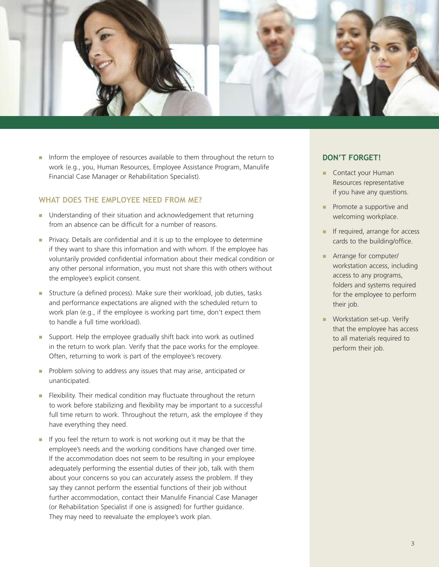

n Inform the employee of resources available to them throughout the return to work (e.g., you, Human Resources, Employee Assistance Program, Manulife Financial Case Manager or Rehabilitation Specialist).

#### **wHat does tHe employee need FRom me?**

- Understanding of their situation and acknowledgement that returning from an absence can be difficult for a number of reasons.
- **n** Privacy. Details are confidential and it is up to the employee to determine if they want to share this information and with whom. If the employee has voluntarily provided confidential information about their medical condition or any other personal information, you must not share this with others without the employee's explicit consent.
- n Structure (a defined process). Make sure their workload, job duties, tasks and performance expectations are aligned with the scheduled return to work plan (e.g., if the employee is working part time, don't expect them to handle a full time workload).
- **n** Support. Help the employee gradually shift back into work as outlined in the return to work plan. Verify that the pace works for the employee. Often, returning to work is part of the employee's recovery.
- **n** Problem solving to address any issues that may arise, anticipated or unanticipated.
- **n** Flexibility. Their medical condition may fluctuate throughout the return to work before stabilizing and flexibility may be important to a successful full time return to work. Throughout the return, ask the employee if they have everything they need.
- $\blacksquare$  If you feel the return to work is not working out it may be that the employee's needs and the working conditions have changed over time. If the accommodation does not seem to be resulting in your employee adequately performing the essential duties of their job, talk with them about your concerns so you can accurately assess the problem. If they say they cannot perform the essential functions of their job without further accommodation, contact their Manulife Financial Case Manager (or Rehabilitation Specialist if one is assigned) for further guidance. They may need to reevaluate the employee's work plan.

#### **don't FoRget!**

- **n** Contact your Human Resources representative if you have any questions.
- $\blacksquare$  Promote a supportive and welcoming workplace.
- **n** If required, arrange for access cards to the building/office.
- **n** Arrange for computer/ workstation access, including access to any programs, folders and systems required for the employee to perform their job.
- **Norkstation set-up. Verify** that the employee has access to all materials required to perform their job.